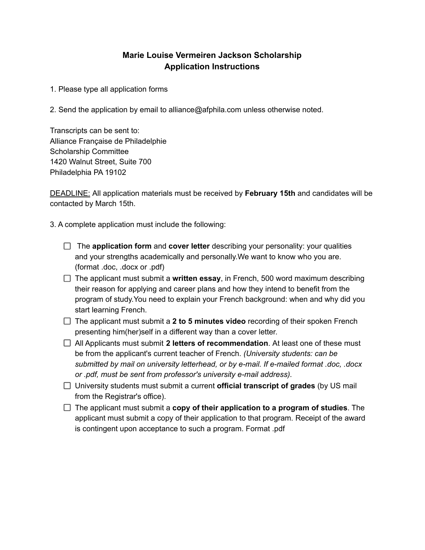## **Marie Louise Vermeiren Jackson Scholarship Application Instructions**

1. Please type all application forms

2. Send the application by email to alliance@afphila.com unless otherwise noted.

Transcripts can be sent to: Alliance Française de Philadelphie Scholarship Committee 1420 Walnut Street, Suite 700 Philadelphia PA 19102

DEADLINE: All application materials must be received by **February 15th** and candidates will be contacted by March 15th.

3. A complete application must include the following:

- The **application form** and **cover letter** describing your personality: your qualities and your strengths academically and personally.We want to know who you are. (format .doc, .docx or .pdf)
- The applicant must submit a **written essay**, in French, 500 word maximum describing their reason for applying and career plans and how they intend to benefit from the program of study.You need to explain your French background: when and why did you start learning French.
- The applicant must submit a **2 to 5 minutes video** recording of their spoken French presenting him(her)self in a different way than a cover letter.
- All Applicants must submit **2 letters of recommendation**. At least one of these must be from the applicant's current teacher of French. *(University students: can be submitted by mail on university letterhead, or by e-mail. If e-mailed format .doc, .docx or .pdf, must be sent from professor's university e-mail address).*
- University students must submit a current **official transcript of grades** (by US mail from the Registrar's office).
- The applicant must submit a **copy of their application to a program of studies**. The applicant must submit a copy of their application to that program. Receipt of the award is contingent upon acceptance to such a program. Format .pdf